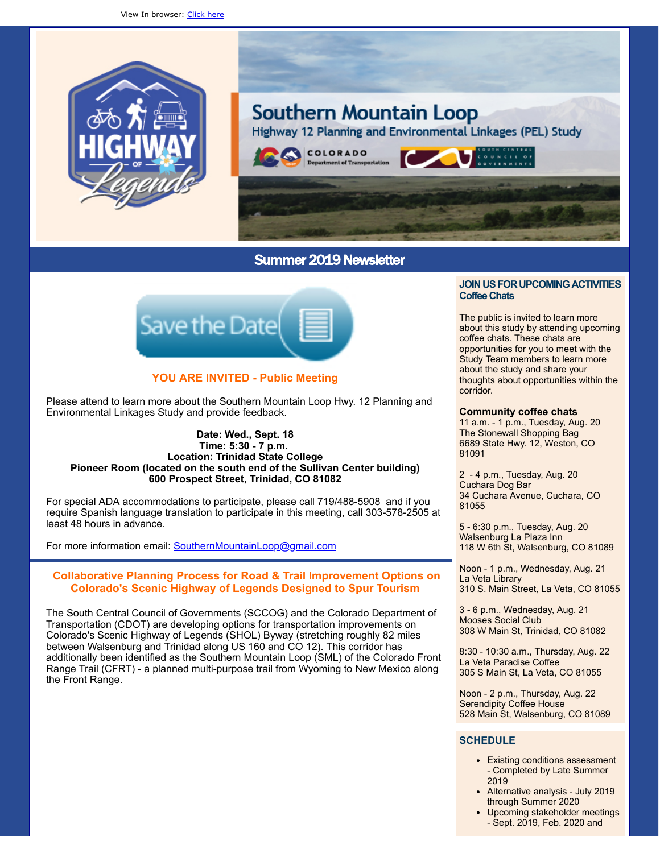



# Summer 2019 Newsletter



# **YOU ARE INVITED - Public Meeting**

Please attend to learn more about the Southern Mountain Loop Hwy. 12 Planning and Environmental Linkages Study and provide feedback.

### **Date: Wed., Sept. 18 Time: 5:30 - 7 p.m. Location: Trinidad State College Pioneer Room (located on the south end of the Sullivan Center building) 600 Prospect Street, Trinidad, CO 81082**

For special ADA accommodations to participate, please call 719/488-5908 and if you require Spanish language translation to participate in this meeting, call 303-578-2505 at least 48 hours in advance.

For more information email: [SouthernMountainLoop@gmail.com](mailto:SouthernMountainLoop@gmail.com)

# **Collaborative Planning Process for Road & Trail Improvement Options on Colorado's Scenic Highway of Legends Designed to Spur Tourism**

The South Central Council of Governments (SCCOG) and the Colorado Department of Transportation (CDOT) are developing options for transportation improvements on Colorado's Scenic Highway of Legends (SHOL) Byway (stretching roughly 82 miles between Walsenburg and Trinidad along US 160 and CO 12). This corridor has additionally been identified as the Southern Mountain Loop (SML) of the Colorado Front Range Trail (CFRT) - a planned multi-purpose trail from Wyoming to New Mexico along the Front Range.

### **JOIN US FOR UPCOMING ACTIVITIES CoffeeChats**

The public is invited to learn more about this study by attending upcoming coffee chats. These chats are opportunities for you to meet with the Study Team members to learn more about the study and share your thoughts about opportunities within the corridor.

### **Community coffee chats**

11 a.m. - 1 p.m., Tuesday, Aug. 20 The Stonewall Shopping Bag 6689 State Hwy. 12, Weston, CO 81091

2 - 4 p.m., Tuesday, Aug. 20 Cuchara Dog Bar 34 Cuchara Avenue, Cuchara, CO 81055

5 - 6:30 p.m., Tuesday, Aug. 20 Walsenburg La Plaza Inn 118 W 6th St, Walsenburg, CO 81089

Noon - 1 p.m., Wednesday, Aug. 21 La Veta Library 310 S. Main Street, La Veta, CO 81055

3 - 6 p.m., Wednesday, Aug. 21 Mooses Social Club 308 W Main St, Trinidad, CO 81082

8:30 - 10:30 a.m., Thursday, Aug. 22 La Veta Paradise Coffee 305 S Main St, La Veta, CO 81055

Noon - 2 p.m., Thursday, Aug. 22 Serendipity Coffee House 528 Main St, Walsenburg, CO 81089

# **SCHEDULE**

- Existing conditions assessment - Completed by Late Summer 2019
- Alternative analysis July 2019 through Summer 2020
- Upcoming stakeholder meetings - Sept. 2019, Feb. 2020 and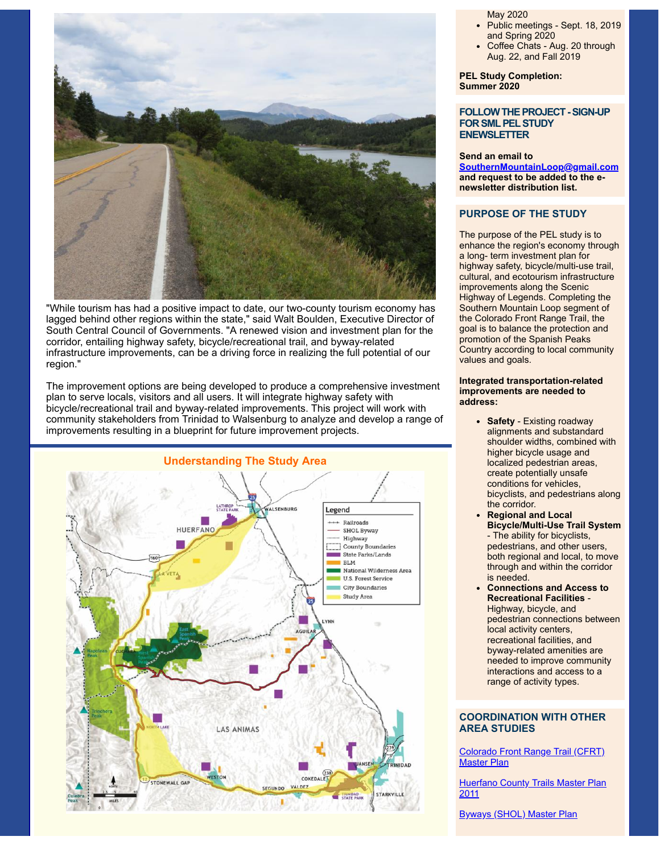

"While tourism has had a positive impact to date, our two-county tourism economy has lagged behind other regions within the state," said Walt Boulden, Executive Director of South Central Council of Governments. "A renewed vision and investment plan for the corridor, entailing highway safety, bicycle/recreational trail, and byway-related infrastructure improvements, can be a driving force in realizing the full potential of our region."

The improvement options are being developed to produce a comprehensive investment plan to serve locals, visitors and all users. It will integrate highway safety with bicycle/recreational trail and byway-related improvements. This project will work with community stakeholders from Trinidad to Walsenburg to analyze and develop a range of improvements resulting in a blueprint for future improvement projects.



May 2020

- Public meetings Sept. 18, 2019 and Spring 2020
- Coffee Chats Aug. 20 through Aug. 22, and Fall 2019

**PEL Study Completion: Summer 2020**

### **FOLLOW THE PROJECT - SIGN-UP FORSMLPELSTUDY ENEWSLETTER**

#### **Send an email to**

**[SouthernMountainLoop@gmail.com](mailto:SouthernMountainLoop@gmail.com) and request to be added to the enewsletter distribution list.**

## **PURPOSE OF THE STUDY**

The purpose of the PEL study is to enhance the region's economy through a long- term investment plan for highway safety, bicycle/multi-use trail, cultural, and ecotourism infrastructure improvements along the Scenic Highway of Legends. Completing the Southern Mountain Loop segment of the Colorado Front Range Trail, the goal is to balance the protection and promotion of the Spanish Peaks Country according to local community values and goals.

#### **Integrated transportation-related improvements are needed to address:**

- **Safety** Existing roadway alignments and substandard shoulder widths, combined with higher bicycle usage and localized pedestrian areas, create potentially unsafe conditions for vehicles, bicyclists, and pedestrians along the corridor.
- **Regional and Local Bicycle/Multi-Use Trail System** - The ability for bicyclists, pedestrians, and other users, both regional and local, to move through and within the corridor is needed.
- **Connections and Access to Recreational Facilities** - Highway, bicycle, and pedestrian connections between local activity centers, recreational facilities, and byway-related amenities are needed to improve community interactions and access to a range of activity types.

### **COORDINATION WITH OTHER AREA STUDIES**

[Colorado](https://cpw.state.co.us/Documents/Trails/LWCF/CFRT/CFRTCompImpPlanDS6-2007.pdf) Front Range Trail (CFRT) Master Plan

**[Huerfano](http://www.huerfano.us/uploads/hctp.pdf) County Trails Master Plan** 2011

[Byways](https://www.codot.gov/travel/scenic-byways/assets/byways-strategic-plan-2017) (SHOL) Master Plan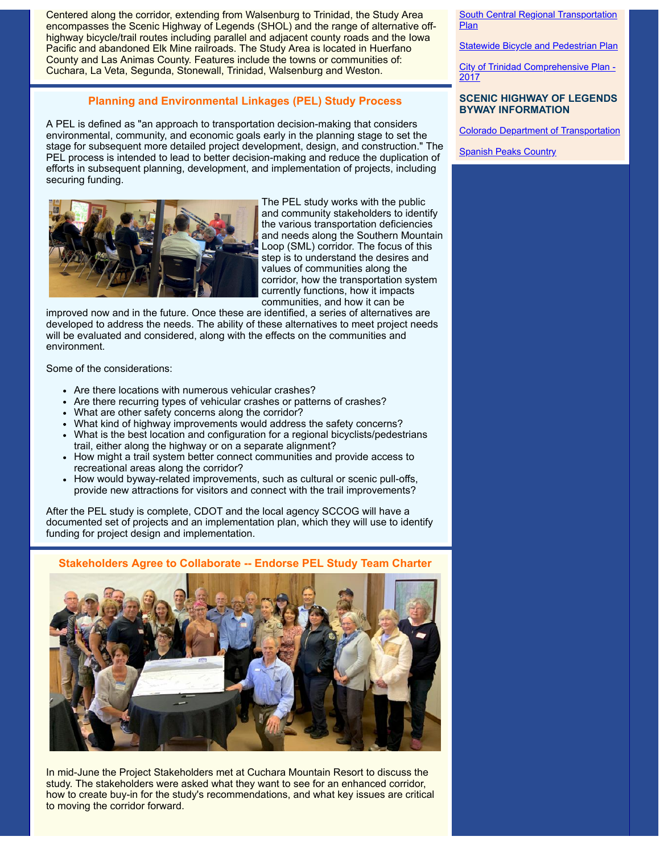Centered along the corridor, extending from Walsenburg to Trinidad, the Study Area encompasses the Scenic Highway of Legends (SHOL) and the range of alternative offhighway bicycle/trail routes including parallel and adjacent county roads and the Iowa Pacific and abandoned Elk Mine railroads. The Study Area is located in Huerfano County and Las Animas County. Features include the towns or communities of: Cuchara, La Veta, Segunda, Stonewall, Trinidad, Walsenburg and Weston.

# **Planning and Environmental Linkages (PEL) Study Process**

A PEL is defined as "an approach to transportation decision-making that considers environmental, community, and economic goals early in the planning stage to set the stage for subsequent more detailed project development, design, and construction." The PEL process is intended to lead to better decision-making and reduce the duplication of efforts in subsequent planning, development, and implementation of projects, including securing funding.



The PEL study works with the public and community stakeholders to identify the various transportation deficiencies and needs along the Southern Mountain Loop (SML) corridor. The focus of this step is to understand the desires and values of communities along the corridor, how the transportation system currently functions, how it impacts communities, and how it can be

improved now and in the future. Once these are identified, a series of alternatives are developed to address the needs. The ability of these alternatives to meet project needs will be evaluated and considered, along with the effects on the communities and environment.

Some of the considerations:

- Are there locations with numerous vehicular crashes?
- Are there recurring types of vehicular crashes or patterns of crashes?
- What are other safety concerns along the corridor?
- What kind of highway improvements would address the safety concerns?
- What is the best location and configuration for a regional bicyclists/pedestrians trail, either along the highway or on a separate alignment?
- How might a trail system better connect communities and provide access to recreational areas along the corridor?
- How would byway-related improvements, such as cultural or scenic pull-offs, provide new attractions for visitors and connect with the trail improvements?

After the PEL study is complete, CDOT and the local agency SCCOG will have a documented set of projects and an implementation plan, which they will use to identify funding for project design and implementation.

# **Stakeholders Agree to Collaborate -- Endorse PEL Study Team Charter**



In mid-June the Project Stakeholders met at Cuchara Mountain Resort to discuss the study. The stakeholders were asked what they want to see for an enhanced corridor, how to create buy-in for the study's recommendations, and what key issues are critical to moving the corridor forward.

South Central Regional [Transportation](https://www.colorado.gov/pacific/sites/default/files/atoms/files/South%20Central%20Regional%20Transportation%20Plan.pdf) Plan

**Statewide Bicycle and [Pedestrian](https://www.colorado.gov/pacific/sites/default/files/atoms/files/Statewide%20Bicycle%20and%20Pedestrian%20Plan.pdf) Plan** 

City of Trinidad [Comprehensive](https://evogov.s3.amazonaws.com/media/39/media/70777.pdf) Plan -2017

### **SCENIC HIGHWAY OF LEGENDS BYWAY INFORMATION**

Colorado Department of [Transportation](https://www.codot.gov/travel/scenic-byways/southeast/highway-legends)

**[Spanish](https://spanishpeakscountry.com/highway-of-legends-scenic-byway/) Peaks Country**